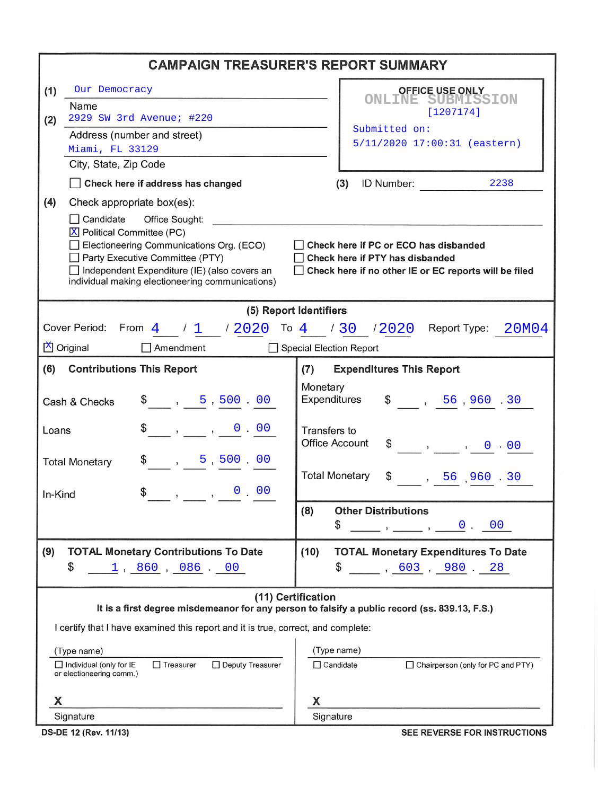| <b>CAMPAIGN TREASURER'S REPORT SUMMARY</b>                                                                          |                                                                          |  |  |  |  |  |  |
|---------------------------------------------------------------------------------------------------------------------|--------------------------------------------------------------------------|--|--|--|--|--|--|
| (1)<br>Our Democracy                                                                                                | <b>OFFICE USE ONLY</b>                                                   |  |  |  |  |  |  |
| Name                                                                                                                | <b>ONLINE SUBMISSION</b><br>[1207174]                                    |  |  |  |  |  |  |
| 2929 SW 3rd Avenue; #220<br>(2)                                                                                     | Submitted on:                                                            |  |  |  |  |  |  |
| Address (number and street)<br>Miami, FL 33129                                                                      | 5/11/2020 17:00:31 (eastern)                                             |  |  |  |  |  |  |
| City, State, Zip Code                                                                                               |                                                                          |  |  |  |  |  |  |
| Check here if address has changed                                                                                   | ID Number:<br>(3)<br>2238                                                |  |  |  |  |  |  |
| (4)<br>Check appropriate box(es):                                                                                   |                                                                          |  |  |  |  |  |  |
| Candidate<br>Office Sought:                                                                                         |                                                                          |  |  |  |  |  |  |
| X Political Committee (PC)                                                                                          |                                                                          |  |  |  |  |  |  |
| Electioneering Communications Org. (ECO)<br>Party Executive Committee (PTY)                                         | Check here if PC or ECO has disbanded<br>Check here if PTY has disbanded |  |  |  |  |  |  |
| Independent Expenditure (IE) (also covers an                                                                        | Check here if no other IE or EC reports will be filed                    |  |  |  |  |  |  |
| individual making electioneering communications)                                                                    |                                                                          |  |  |  |  |  |  |
| (5) Report Identifiers                                                                                              |                                                                          |  |  |  |  |  |  |
|                                                                                                                     | Cover Period: From 4 / 1 / 2020 To 4 / 30 / 2020 Report Type: 20M04      |  |  |  |  |  |  |
| $X$ Original<br>$\Box$ Amendment<br>Special Election Report                                                         |                                                                          |  |  |  |  |  |  |
| (6)<br><b>Contributions This Report</b>                                                                             | <b>Expenditures This Report</b><br>(7)                                   |  |  |  |  |  |  |
|                                                                                                                     | Monetary                                                                 |  |  |  |  |  |  |
| $\frac{1}{2}$ , 5,500.00<br>Cash & Checks                                                                           | Expenditures<br>$\frac{1}{2}$ , 56,960.30                                |  |  |  |  |  |  |
| $\$\,$ , , 0 00<br>Loans                                                                                            | Transfers to                                                             |  |  |  |  |  |  |
|                                                                                                                     | <b>Office Account</b>                                                    |  |  |  |  |  |  |
| $\frac{1}{2}$ , 5,500.00<br><b>Total Monetary</b>                                                                   |                                                                          |  |  |  |  |  |  |
|                                                                                                                     | <b>Total Monetary</b><br>$\frac{1}{2}$ , 56, 960.30                      |  |  |  |  |  |  |
| $\frac{1}{2}$ , , 0 00<br>In-Kind                                                                                   |                                                                          |  |  |  |  |  |  |
|                                                                                                                     | <b>Other Distributions</b><br>(8)                                        |  |  |  |  |  |  |
|                                                                                                                     | \$<br>0.00<br>$\overline{\phantom{a}}$                                   |  |  |  |  |  |  |
| (9)<br><b>TOTAL Monetary Contributions To Date</b>                                                                  | (10)<br><b>TOTAL Monetary Expenditures To Date</b>                       |  |  |  |  |  |  |
| \$<br>1, 860, 086, 00                                                                                               | \$<br>$\sim$ , 603, 980 28                                               |  |  |  |  |  |  |
|                                                                                                                     |                                                                          |  |  |  |  |  |  |
| (11) Certification<br>It is a first degree misdemeanor for any person to falsify a public record (ss. 839.13, F.S.) |                                                                          |  |  |  |  |  |  |
| I certify that I have examined this report and it is true, correct, and complete:                                   |                                                                          |  |  |  |  |  |  |
| (Type name)                                                                                                         | (Type name)                                                              |  |  |  |  |  |  |
| $\Box$ Individual (only for IE<br>$\Box$ Treasurer<br>□ Deputy Treasurer                                            | $\Box$ Candidate<br>Chairperson (only for PC and PTY)                    |  |  |  |  |  |  |
| or electioneering comm.)                                                                                            |                                                                          |  |  |  |  |  |  |
| X                                                                                                                   | X                                                                        |  |  |  |  |  |  |
| Signature                                                                                                           | Signature                                                                |  |  |  |  |  |  |

DS-DE 12 (Rev. 11/13)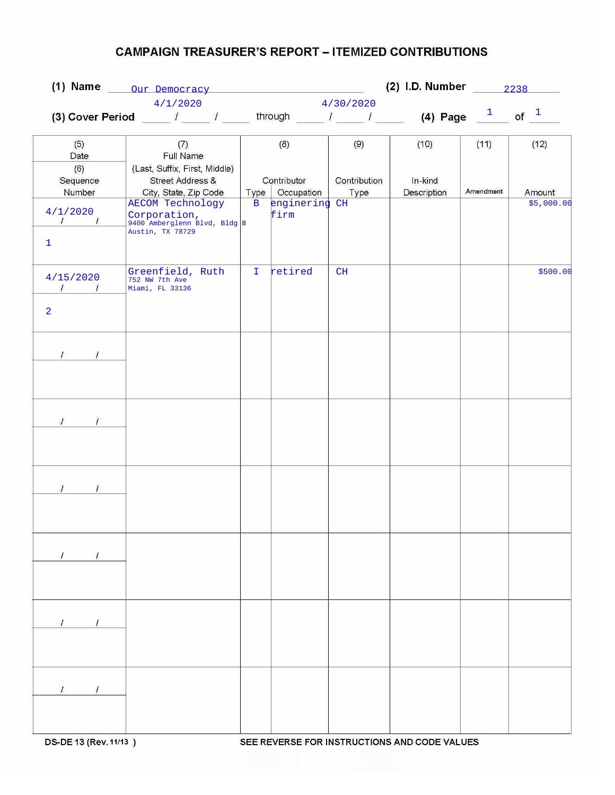## **CAMPAIGN TREASURER'S REPORT - ITEMIZED CONTRIBUTIONS**

|                             |                                                                                                                      | (2) I.D. Number 2238<br>(1) Name Our Democracy |                   |              |             |           |            |
|-----------------------------|----------------------------------------------------------------------------------------------------------------------|------------------------------------------------|-------------------|--------------|-------------|-----------|------------|
|                             | 4/1/2020                                                                                                             | 4/30/2020                                      |                   |              |             |           |            |
|                             | (3) Cover Period ____ / ____ / ____ through ____ / ____ / ____ (4) Page $\frac{1}{\sqrt{2}}$ of $\frac{1}{\sqrt{2}}$ |                                                |                   |              |             |           |            |
|                             |                                                                                                                      |                                                |                   |              |             |           |            |
| (5)                         | (7)                                                                                                                  |                                                | (8)               | (9)          | (10)        | (11)      | (12)       |
| Date                        | Full Name                                                                                                            |                                                |                   |              |             |           |            |
| (6)                         | (Last, Suffix, First, Middle)                                                                                        |                                                |                   |              |             |           |            |
| Sequence                    | Street Address &                                                                                                     |                                                | Contributor       | Contribution | In-kind     |           |            |
| Number                      | City, State, Zip Code                                                                                                |                                                | Type   Occupation | Type         | Description | Amendment | Amount     |
|                             | <b>AECOM Technology</b>                                                                                              | $\mathbf{B}$                                   | enginering CH     |              |             |           | \$5,000.00 |
| 4/1/2020<br>$\sqrt{1}$      | Corporation,<br>9400 Amberglenn Blvd, Bldg B                                                                         |                                                | firm              |              |             |           |            |
|                             | Austin, TX 78729                                                                                                     |                                                |                   |              |             |           |            |
| $\mathbf{1}$                |                                                                                                                      |                                                |                   |              |             |           |            |
|                             |                                                                                                                      |                                                |                   |              |             |           |            |
|                             | Greenfield, Ruth                                                                                                     | $\mathbf{I}$                                   | retired           | CH           |             |           | \$500.00   |
| 4/15/2020<br>$\sqrt{1}$     | 752 NW 7th Ave                                                                                                       |                                                |                   |              |             |           |            |
|                             | Miami, FL 33136                                                                                                      |                                                |                   |              |             |           |            |
| $\overline{2}$              |                                                                                                                      |                                                |                   |              |             |           |            |
|                             |                                                                                                                      |                                                |                   |              |             |           |            |
|                             |                                                                                                                      |                                                |                   |              |             |           |            |
|                             |                                                                                                                      |                                                |                   |              |             |           |            |
| $\mathcal{L}$               |                                                                                                                      |                                                |                   |              |             |           |            |
|                             |                                                                                                                      |                                                |                   |              |             |           |            |
|                             |                                                                                                                      |                                                |                   |              |             |           |            |
|                             |                                                                                                                      |                                                |                   |              |             |           |            |
|                             |                                                                                                                      |                                                |                   |              |             |           |            |
| $\sqrt{ }$<br>$\mathcal{I}$ |                                                                                                                      |                                                |                   |              |             |           |            |
|                             |                                                                                                                      |                                                |                   |              |             |           |            |
|                             |                                                                                                                      |                                                |                   |              |             |           |            |
|                             |                                                                                                                      |                                                |                   |              |             |           |            |
|                             |                                                                                                                      |                                                |                   |              |             |           |            |
| $\overline{1}$              |                                                                                                                      |                                                |                   |              |             |           |            |
|                             |                                                                                                                      |                                                |                   |              |             |           |            |
|                             |                                                                                                                      |                                                |                   |              |             |           |            |
|                             |                                                                                                                      |                                                |                   |              |             |           |            |
|                             |                                                                                                                      |                                                |                   |              |             |           |            |
| $\mathcal{L}$<br>$\prime$   |                                                                                                                      |                                                |                   |              |             |           |            |
|                             |                                                                                                                      |                                                |                   |              |             |           |            |
|                             |                                                                                                                      |                                                |                   |              |             |           |            |
|                             |                                                                                                                      |                                                |                   |              |             |           |            |
|                             |                                                                                                                      |                                                |                   |              |             |           |            |
|                             |                                                                                                                      |                                                |                   |              |             |           |            |
|                             |                                                                                                                      |                                                |                   |              |             |           |            |
|                             |                                                                                                                      |                                                |                   |              |             |           |            |
|                             |                                                                                                                      |                                                |                   |              |             |           |            |
|                             |                                                                                                                      |                                                |                   |              |             |           |            |
| $\prime$<br>$\prime$        |                                                                                                                      |                                                |                   |              |             |           |            |
|                             |                                                                                                                      |                                                |                   |              |             |           |            |
|                             |                                                                                                                      |                                                |                   |              |             |           |            |
|                             |                                                                                                                      |                                                |                   |              |             |           |            |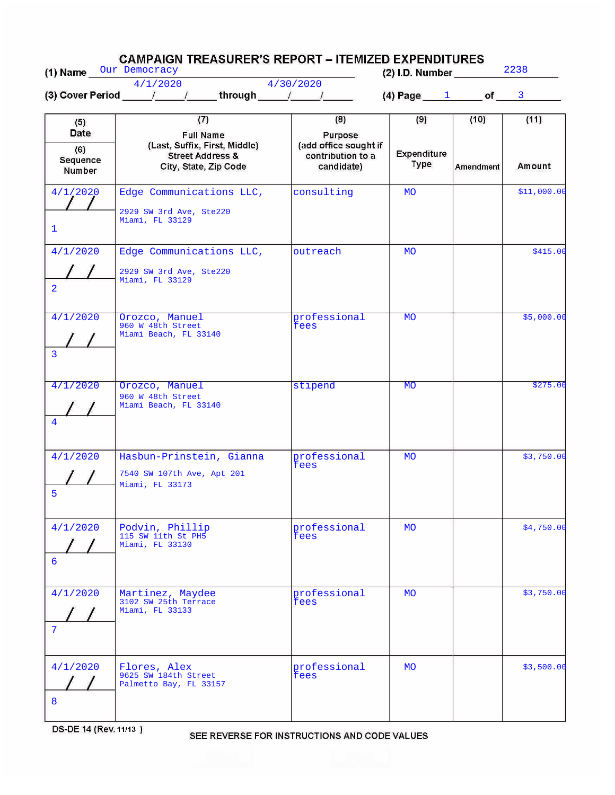| (1) Name Our Democracy                   | <b>CAMPAIGN TREASURER'S REPORT – ITEMIZED EXPENDITURES</b>                                                       | $(2)$ l.D. Number                                                          | 2238                              |                          |                |
|------------------------------------------|------------------------------------------------------------------------------------------------------------------|----------------------------------------------------------------------------|-----------------------------------|--------------------------|----------------|
|                                          | 4/1/2020<br>(3) Cover Period $\frac{1}{\sqrt{2}}$ / through $\frac{1}{\sqrt{2}}$                                 | 4/30/2020                                                                  | (4) Page $1$ of $\blacksquare$    |                          | $\mathbf{3}$   |
| (5)<br>Date<br>(6)<br>Sequence<br>Number | (7)<br><b>Full Name</b><br>(Last, Suffix, First, Middle)<br><b>Street Address &amp;</b><br>City, State, Zip Code | (8)<br>Purpose<br>(add office sought if<br>contribution to a<br>candidate) | (9)<br>Expenditure<br><b>Type</b> | (10)<br><b>Amendment</b> | (11)<br>Amount |
| 4/1/2020<br>$\mathbf{1}$                 | Edge Communications LLC,<br>2929 SW 3rd Ave, Ste220<br>Miami, FL 33129                                           | consulting                                                                 | <b>MO</b>                         |                          | \$11,000.00    |
| 4/1/2020<br>$\overline{2}$               | Edge Communications LLC,<br>2929 SW 3rd Ave, Ste220<br>Miami, FL 33129                                           | outreach                                                                   | <b>MO</b>                         |                          | \$415.00       |
| 4/1/2020<br>3                            | Orozco, Manuel<br>960 W 48th Street<br>Miami Beach, FL 33140                                                     | professional<br>fees                                                       | <b>MO</b>                         |                          | \$5,000.00     |
| 4/1/2020<br>$\overline{4}$               | Orozco, Manuel<br>960 W 48th Street<br>Miami Beach, FL 33140                                                     | stipend                                                                    | <b>MO</b>                         |                          | \$275.00       |
| 4/1/2020<br>5                            | Hasbun-Prinstein, Gianna<br>7540 SW 107th Ave, Apt 201<br>Miami, FL 33173                                        | professional<br>fees                                                       | <b>MO</b>                         |                          | \$3,750.00     |
| 4/1/2020<br>6                            | Podvin, Phillip<br>115 SW 11th St PH5<br>Miami, FL 33130                                                         | professional<br>fees                                                       | <b>MO</b>                         |                          | \$4,750.00     |
| 4/1/2020<br>7                            | Martinez, Maydee<br>3102 SW 25th Terrace<br>Miami, FL 33133                                                      | professional<br>fees                                                       | <b>MO</b>                         |                          | \$3,750.00     |
| 4/1/2020<br>8                            | Flores, Alex<br>9625 SW 184th Street<br>Palmetto Bay, FL 33157                                                   | professional<br>fees                                                       | <b>MO</b>                         |                          | \$3,500.00     |

DS-DE 14 (Rev. 11/13)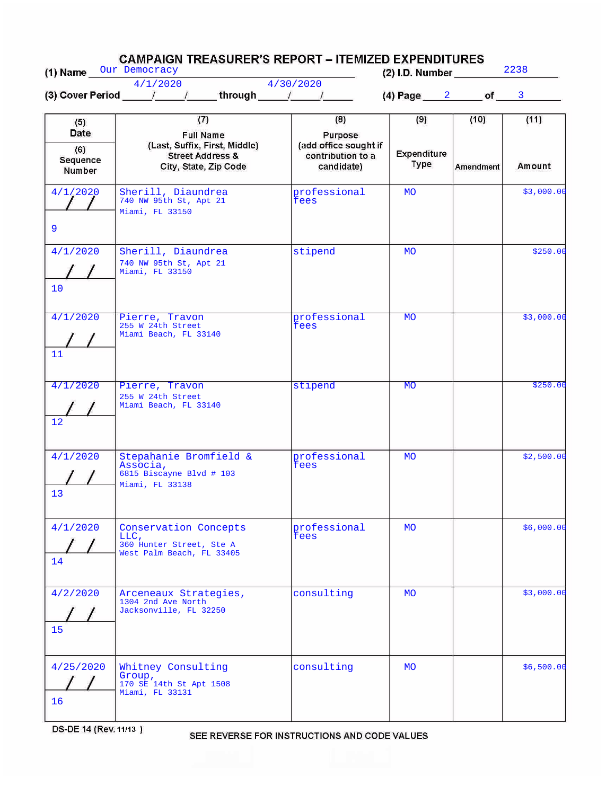| (1) Name Our Democracy                   | <b>CAMPAIGN TREASURER'S REPORT – ITEMIZED EXPENDITURES</b>                                                       |                                                                            | (2) I.D. Number                   |                          | 2238           |  |
|------------------------------------------|------------------------------------------------------------------------------------------------------------------|----------------------------------------------------------------------------|-----------------------------------|--------------------------|----------------|--|
|                                          | 4/1/2020<br>(3) Cover Period $\qquad$ / $\qquad$ / through $\qquad$ / $\qquad$ /                                 | 4/30/2020                                                                  | $(4)$ Page $2$ of                 |                          | 3              |  |
| (5)<br>Date<br>(6)<br>Sequence<br>Number | (7)<br><b>Full Name</b><br>(Last, Suffix, First, Middle)<br><b>Street Address &amp;</b><br>City, State, Zip Code | (8)<br>Purpose<br>(add office sought if<br>contribution to a<br>candidate) | (9)<br>Expenditure<br><b>Type</b> | (10)<br><b>Amendment</b> | (11)<br>Amount |  |
| 4/1/2020<br>9                            | Sherill, Diaundrea<br>740 NW 95th St, Apt 21<br>Miami, FL 33150                                                  | professional<br>fees                                                       | <b>MO</b>                         |                          | \$3,000.00     |  |
| 4/1/2020<br>10                           | Sherill, Diaundrea<br>740 NW 95th St, Apt 21<br>Miami, FL 33150                                                  | stipend                                                                    | <b>MO</b>                         |                          | \$250.00       |  |
| 4/1/2020<br>11                           | Pierre, Travon<br>255 W 24th Street<br>Miami Beach, FL 33140                                                     | professional<br>fees                                                       | <b>MO</b>                         |                          | \$3,000.00     |  |
| 4/1/2020<br>12                           | Pierre, Travon<br>255 W 24th Street<br>Miami Beach, FL 33140                                                     | stipend                                                                    | <b>MO</b>                         |                          | \$250.00       |  |
| 4/1/2020<br>13                           | Stepahanie Bromfield &<br>Associa,<br>6815 Biscayne Blvd # 103<br>Miami, FL 33138                                | professional<br>fees                                                       | <b>MO</b>                         |                          | \$2,500.00     |  |
| 4/1/2020<br>14                           | Conservation Concepts<br>LLC,<br>360 Hunter Street, Ste A<br>West Palm Beach, FL 33405                           | professional<br>fees                                                       | <b>MO</b>                         |                          | \$6,000.00     |  |
| 4/2/2020<br>15                           | Arceneaux Strategies,<br>1304 2nd Ave North<br>Jacksonville, FL 32250                                            | consulting                                                                 | <b>MO</b>                         |                          | \$3,000.00     |  |
| 4/25/2020<br>16                          | Whitney Consulting<br>Group,<br>170 SE 14th St Apt 1508<br>Miami, FL 33131                                       | consulting                                                                 | <b>MO</b>                         |                          | \$6,500.00     |  |

DS-DE 14 (Rev. 11/13)